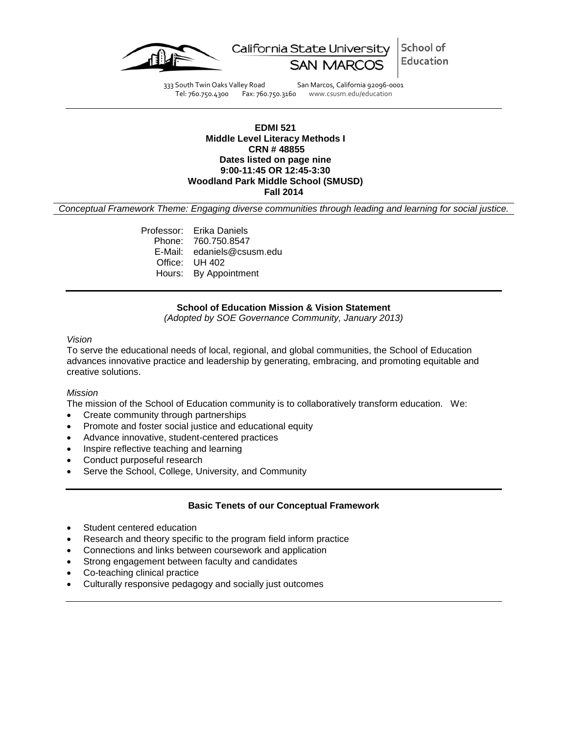

School of California State University Education

333 South Twin Oaks Valley Road San Marcos, California 92096-0001 Tel: 760.750.4300 Fax: 760.750.3160 www.csusm.edu/education

#### **EDMI 521 Middle Level Literacy Methods I CRN # 48855 Dates listed on page nine 9:00-11:45 OR 12:45-3:30 Woodland Park Middle School (SMUSD) Fall 2014**

*Conceptual Framework Theme: Engaging diverse communities through leading and learning for social justice.*

Professor: Erika Daniels Phone: 760.750.8547 E-Mail: edaniels@csusm.edu Office: UH 402 Hours: By Appointment

#### **School of Education Mission & Vision Statement**

*(Adopted by SOE Governance Community, January 2013)*

### *Vision*

To serve the educational needs of local, regional, and global communities, the School of Education advances innovative practice and leadership by generating, embracing, and promoting equitable and creative solutions.

#### *Mission*

The mission of the School of Education community is to collaboratively transform education. We:

- Create community through partnerships
- Promote and foster social justice and educational equity
- Advance innovative, student-centered practices
- Inspire reflective teaching and learning
- Conduct purposeful research
- Serve the School, College, University, and Community

### **Basic Tenets of our Conceptual Framework**

- Student centered education
- Research and theory specific to the program field inform practice
- Connections and links between coursework and application
- Strong engagement between faculty and candidates
- Co-teaching clinical practice
- Culturally responsive pedagogy and socially just outcomes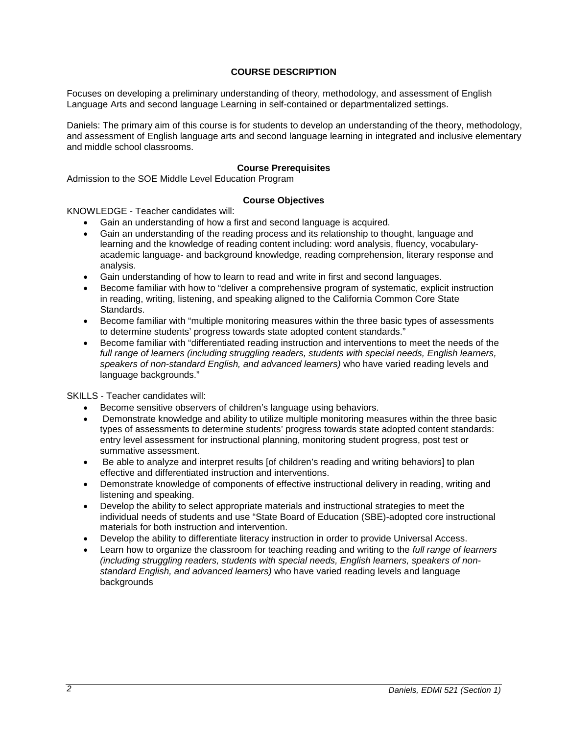# **COURSE DESCRIPTION**

Focuses on developing a preliminary understanding of theory, methodology, and assessment of English Language Arts and second language Learning in self-contained or departmentalized settings.

Daniels: The primary aim of this course is for students to develop an understanding of the theory, methodology, and assessment of English language arts and second language learning in integrated and inclusive elementary and middle school classrooms.

### **Course Prerequisites**

Admission to the SOE Middle Level Education Program

### **Course Objectives**

KNOWLEDGE - Teacher candidates will:

- Gain an understanding of how a first and second language is acquired.
- Gain an understanding of the reading process and its relationship to thought, language and learning and the knowledge of reading content including: word analysis, fluency, vocabularyacademic language- and background knowledge, reading comprehension, literary response and analysis.
- Gain understanding of how to learn to read and write in first and second languages.
- Become familiar with how to "deliver a comprehensive program of systematic, explicit instruction in reading, writing, listening, and speaking aligned to the California Common Core State **Standards**
- Become familiar with "multiple monitoring measures within the three basic types of assessments to determine students' progress towards state adopted content standards."
- Become familiar with "differentiated reading instruction and interventions to meet the needs of the *full range of learners (including struggling readers, students with special needs, English learners, speakers of non-standard English, and advanced learners)* who have varied reading levels and language backgrounds."

SKILLS - Teacher candidates will:

- Become sensitive observers of children's language using behaviors.
- Demonstrate knowledge and ability to utilize multiple monitoring measures within the three basic types of assessments to determine students' progress towards state adopted content standards: entry level assessment for instructional planning, monitoring student progress, post test or summative assessment.
- Be able to analyze and interpret results [of children's reading and writing behaviors] to plan effective and differentiated instruction and interventions.
- Demonstrate knowledge of components of effective instructional delivery in reading, writing and listening and speaking.
- Develop the ability to select appropriate materials and instructional strategies to meet the individual needs of students and use "State Board of Education (SBE)-adopted core instructional materials for both instruction and intervention.
- Develop the ability to differentiate literacy instruction in order to provide Universal Access.
- Learn how to organize the classroom for teaching reading and writing to the *full range of learners (including struggling readers, students with special needs, English learners, speakers of nonstandard English, and advanced learners)* who have varied reading levels and language backgrounds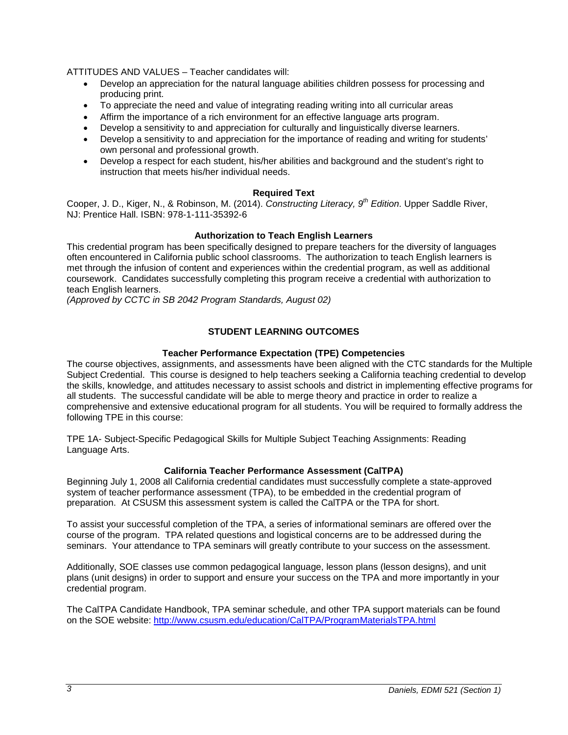ATTITUDES AND VALUES – Teacher candidates will:

- Develop an appreciation for the natural language abilities children possess for processing and producing print.
- To appreciate the need and value of integrating reading writing into all curricular areas
- Affirm the importance of a rich environment for an effective language arts program.
- Develop a sensitivity to and appreciation for culturally and linguistically diverse learners.
- Develop a sensitivity to and appreciation for the importance of reading and writing for students' own personal and professional growth.
- Develop a respect for each student, his/her abilities and background and the student's right to instruction that meets his/her individual needs.

# **Required Text**

Cooper, J. D., Kiger, N., & Robinson, M. (2014). *Constructing Literacy, 9th Edition*. Upper Saddle River, NJ: Prentice Hall. ISBN: 978-1-111-35392-6

# **Authorization to Teach English Learners**

This credential program has been specifically designed to prepare teachers for the diversity of languages often encountered in California public school classrooms. The authorization to teach English learners is met through the infusion of content and experiences within the credential program, as well as additional coursework. Candidates successfully completing this program receive a credential with authorization to teach English learners.

*(Approved by CCTC in SB 2042 Program Standards, August 02)*

# **STUDENT LEARNING OUTCOMES**

### **Teacher Performance Expectation (TPE) Competencies**

The course objectives, assignments, and assessments have been aligned with the CTC standards for the Multiple Subject Credential. This course is designed to help teachers seeking a California teaching credential to develop the skills, knowledge, and attitudes necessary to assist schools and district in implementing effective programs for all students. The successful candidate will be able to merge theory and practice in order to realize a comprehensive and extensive educational program for all students. You will be required to formally address the following TPE in this course:

TPE 1A- Subject-Specific Pedagogical Skills for Multiple Subject Teaching Assignments: Reading Language Arts.

### **California Teacher Performance Assessment (CalTPA)**

Beginning July 1, 2008 all California credential candidates must successfully complete a state-approved system of teacher performance assessment (TPA), to be embedded in the credential program of preparation. At CSUSM this assessment system is called the CalTPA or the TPA for short.

To assist your successful completion of the TPA, a series of informational seminars are offered over the course of the program. TPA related questions and logistical concerns are to be addressed during the seminars. Your attendance to TPA seminars will greatly contribute to your success on the assessment.

Additionally, SOE classes use common pedagogical language, lesson plans (lesson designs), and unit plans (unit designs) in order to support and ensure your success on the TPA and more importantly in your credential program.

The CalTPA Candidate Handbook, TPA seminar schedule, and other TPA support materials can be found on the SOE website:<http://www.csusm.edu/education/CalTPA/ProgramMaterialsTPA.html>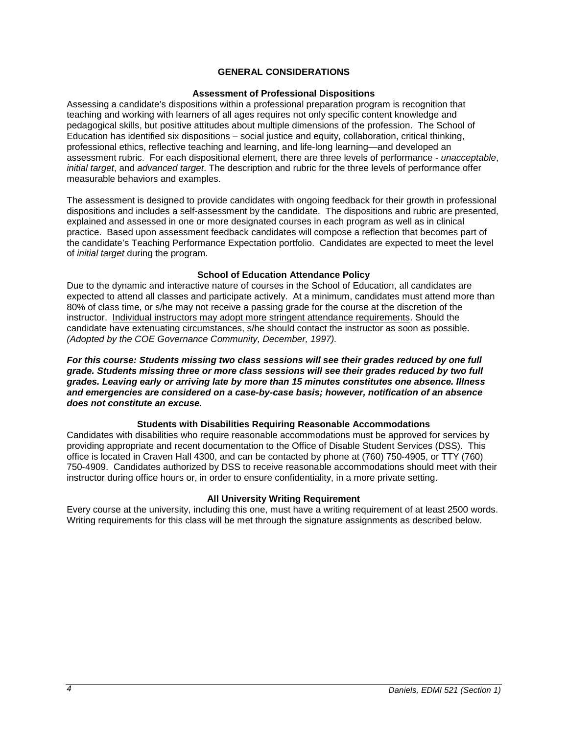# **GENERAL CONSIDERATIONS**

#### **Assessment of Professional Dispositions**

Assessing a candidate's dispositions within a professional preparation program is recognition that teaching and working with learners of all ages requires not only specific content knowledge and pedagogical skills, but positive attitudes about multiple dimensions of the profession. The School of Education has identified six dispositions – social justice and equity, collaboration, critical thinking, professional ethics, reflective teaching and learning, and life-long learning—and developed an assessment rubric. For each dispositional element, there are three levels of performance - *unacceptable*, *initial target*, and *advanced target*. The description and rubric for the three levels of performance offer measurable behaviors and examples.

The assessment is designed to provide candidates with ongoing feedback for their growth in professional dispositions and includes a self-assessment by the candidate. The dispositions and rubric are presented, explained and assessed in one or more designated courses in each program as well as in clinical practice. Based upon assessment feedback candidates will compose a reflection that becomes part of the candidate's Teaching Performance Expectation portfolio. Candidates are expected to meet the level of *initial target* during the program.

## **School of Education Attendance Policy**

Due to the dynamic and interactive nature of courses in the School of Education, all candidates are expected to attend all classes and participate actively. At a minimum, candidates must attend more than 80% of class time, or s/he may not receive a passing grade for the course at the discretion of the instructor. Individual instructors may adopt more stringent attendance requirements. Should the candidate have extenuating circumstances, s/he should contact the instructor as soon as possible. *(Adopted by the COE Governance Community, December, 1997).*

*For this course: Students missing two class sessions will see their grades reduced by one full grade. Students missing three or more class sessions will see their grades reduced by two full grades. Leaving early or arriving late by more than 15 minutes constitutes one absence. Illness and emergencies are considered on a case-by-case basis; however, notification of an absence does not constitute an excuse.* 

### **Students with Disabilities Requiring Reasonable Accommodations**

Candidates with disabilities who require reasonable accommodations must be approved for services by providing appropriate and recent documentation to the Office of Disable Student Services (DSS). This office is located in Craven Hall 4300, and can be contacted by phone at (760) 750-4905, or TTY (760) 750-4909. Candidates authorized by DSS to receive reasonable accommodations should meet with their instructor during office hours or, in order to ensure confidentiality, in a more private setting.

#### **All University Writing Requirement**

Every course at the university, including this one, must have a writing requirement of at least 2500 words. Writing requirements for this class will be met through the signature assignments as described below.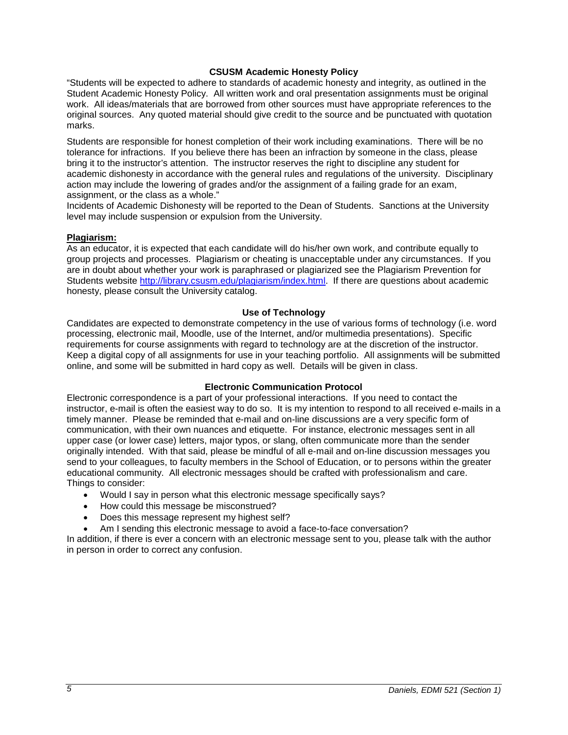## **CSUSM Academic Honesty Policy**

"Students will be expected to adhere to standards of academic honesty and integrity, as outlined in the Student Academic Honesty Policy. All written work and oral presentation assignments must be original work. All ideas/materials that are borrowed from other sources must have appropriate references to the original sources. Any quoted material should give credit to the source and be punctuated with quotation marks.

Students are responsible for honest completion of their work including examinations. There will be no tolerance for infractions. If you believe there has been an infraction by someone in the class, please bring it to the instructor's attention. The instructor reserves the right to discipline any student for academic dishonesty in accordance with the general rules and regulations of the university. Disciplinary action may include the lowering of grades and/or the assignment of a failing grade for an exam, assignment, or the class as a whole."

Incidents of Academic Dishonesty will be reported to the Dean of Students. Sanctions at the University level may include suspension or expulsion from the University.

### **Plagiarism:**

As an educator, it is expected that each candidate will do his/her own work, and contribute equally to group projects and processes. Plagiarism or cheating is unacceptable under any circumstances. If you are in doubt about whether your work is paraphrased or plagiarized see the Plagiarism Prevention for Students website [http://library.csusm.edu/plagiarism/index.html.](http://library.csusm.edu/plagiarism/index.html) If there are questions about academic honesty, please consult the University catalog.

### **Use of Technology**

Candidates are expected to demonstrate competency in the use of various forms of technology (i.e. word processing, electronic mail, Moodle, use of the Internet, and/or multimedia presentations). Specific requirements for course assignments with regard to technology are at the discretion of the instructor. Keep a digital copy of all assignments for use in your teaching portfolio. All assignments will be submitted online, and some will be submitted in hard copy as well. Details will be given in class.

### **Electronic Communication Protocol**

Electronic correspondence is a part of your professional interactions. If you need to contact the instructor, e-mail is often the easiest way to do so. It is my intention to respond to all received e-mails in a timely manner. Please be reminded that e-mail and on-line discussions are a very specific form of communication, with their own nuances and etiquette. For instance, electronic messages sent in all upper case (or lower case) letters, major typos, or slang, often communicate more than the sender originally intended. With that said, please be mindful of all e-mail and on-line discussion messages you send to your colleagues, to faculty members in the School of Education, or to persons within the greater educational community. All electronic messages should be crafted with professionalism and care. Things to consider:

- Would I say in person what this electronic message specifically says?
- How could this message be misconstrued?
- Does this message represent my highest self?
- Am I sending this electronic message to avoid a face-to-face conversation?

In addition, if there is ever a concern with an electronic message sent to you, please talk with the author in person in order to correct any confusion.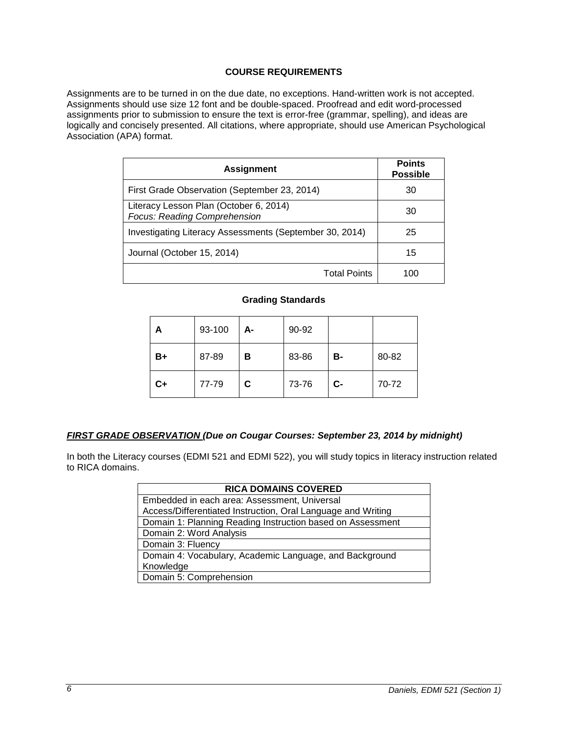# **COURSE REQUIREMENTS**

Assignments are to be turned in on the due date, no exceptions. Hand-written work is not accepted. Assignments should use size 12 font and be double-spaced. Proofread and edit word-processed assignments prior to submission to ensure the text is error-free (grammar, spelling), and ideas are logically and concisely presented. All citations, where appropriate, should use American Psychological Association (APA) format.

| <b>Assignment</b>                                                             | <b>Points</b><br><b>Possible</b> |
|-------------------------------------------------------------------------------|----------------------------------|
| First Grade Observation (September 23, 2014)                                  | 30                               |
| Literacy Lesson Plan (October 6, 2014)<br><b>Focus: Reading Comprehension</b> | 30                               |
| Investigating Literacy Assessments (September 30, 2014)                       | 25                               |
| Journal (October 15, 2014)                                                    | 15                               |
| <b>Total Points</b>                                                           | 100                              |

# **Grading Standards**

| А    | 93-100 | А- | 90-92 |           |       |
|------|--------|----|-------|-----------|-------|
| B+   | 87-89  | в  | 83-86 | <b>B-</b> | 80-82 |
| $C+$ | 77-79  | C. | 73-76 | $C-$      | 70-72 |

# *FIRST GRADE OBSERVATION (Due on Cougar Courses: September 23, 2014 by midnight)*

In both the Literacy courses (EDMI 521 and EDMI 522), you will study topics in literacy instruction related to RICA domains.

| <b>RICA DOMAINS COVERED</b>                                  |  |  |  |
|--------------------------------------------------------------|--|--|--|
| Embedded in each area: Assessment, Universal                 |  |  |  |
| Access/Differentiated Instruction, Oral Language and Writing |  |  |  |
| Domain 1: Planning Reading Instruction based on Assessment   |  |  |  |
| Domain 2: Word Analysis                                      |  |  |  |
| Domain 3: Fluency                                            |  |  |  |
| Domain 4: Vocabulary, Academic Language, and Background      |  |  |  |
| Knowledge                                                    |  |  |  |
| Domain 5: Comprehension                                      |  |  |  |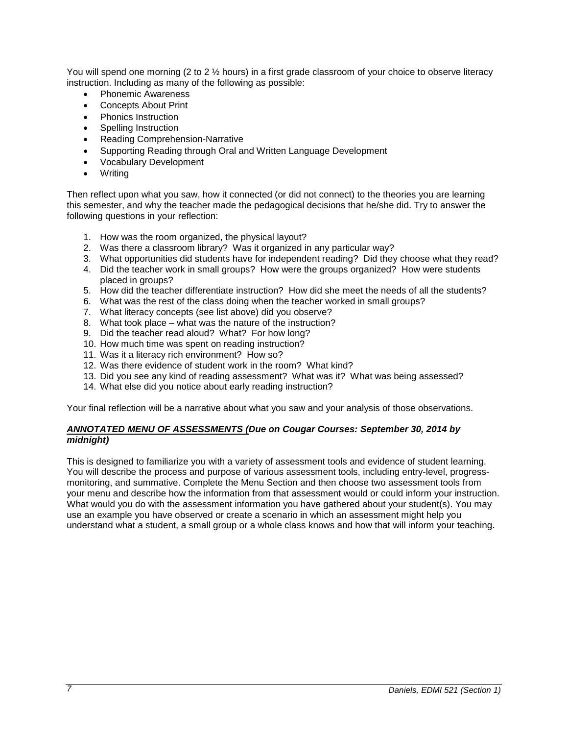You will spend one morning (2 to 2  $\frac{1}{2}$  hours) in a first grade classroom of your choice to observe literacy instruction. Including as many of the following as possible:

- Phonemic Awareness
- Concepts About Print
- Phonics Instruction
- Spelling Instruction
- Reading Comprehension-Narrative
- Supporting Reading through Oral and Written Language Development
- Vocabulary Development
- **Writing**

Then reflect upon what you saw, how it connected (or did not connect) to the theories you are learning this semester, and why the teacher made the pedagogical decisions that he/she did. Try to answer the following questions in your reflection:

- 1. How was the room organized, the physical layout?
- 2. Was there a classroom library? Was it organized in any particular way?
- 3. What opportunities did students have for independent reading? Did they choose what they read?
- 4. Did the teacher work in small groups? How were the groups organized? How were students placed in groups?
- 5. How did the teacher differentiate instruction? How did she meet the needs of all the students?
- 6. What was the rest of the class doing when the teacher worked in small groups?
- 7. What literacy concepts (see list above) did you observe?
- 8. What took place what was the nature of the instruction?
- 9. Did the teacher read aloud? What? For how long?
- 10. How much time was spent on reading instruction?
- 11. Was it a literacy rich environment? How so?
- 12. Was there evidence of student work in the room? What kind?
- 13. Did you see any kind of reading assessment? What was it? What was being assessed?
- 14. What else did you notice about early reading instruction?

Your final reflection will be a narrative about what you saw and your analysis of those observations.

## *ANNOTATED MENU OF ASSESSMENTS (Due on Cougar Courses: September 30, 2014 by midnight)*

This is designed to familiarize you with a variety of assessment tools and evidence of student learning. You will describe the process and purpose of various assessment tools, including entry-level, progressmonitoring, and summative. Complete the Menu Section and then choose two assessment tools from your menu and describe how the information from that assessment would or could inform your instruction. What would you do with the assessment information you have gathered about your student(s). You may use an example you have observed or create a scenario in which an assessment might help you understand what a student, a small group or a whole class knows and how that will inform your teaching.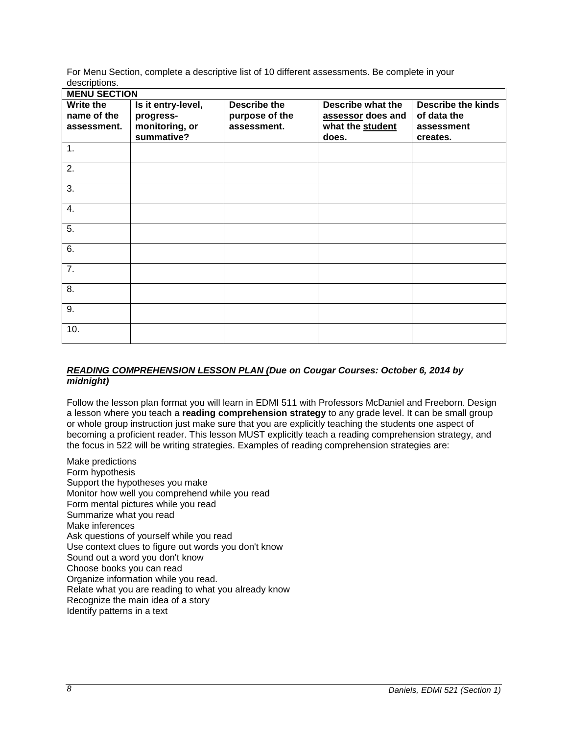For Menu Section, complete a descriptive list of 10 different assessments. Be complete in your descriptions.

| <b>MENU SECTION</b>                     |                                                                 |                                                      |                                                                     |                                                                    |
|-----------------------------------------|-----------------------------------------------------------------|------------------------------------------------------|---------------------------------------------------------------------|--------------------------------------------------------------------|
| Write the<br>name of the<br>assessment. | Is it entry-level,<br>progress-<br>monitoring, or<br>summative? | <b>Describe the</b><br>purpose of the<br>assessment. | Describe what the<br>assessor does and<br>what the student<br>does. | <b>Describe the kinds</b><br>of data the<br>assessment<br>creates. |
| 1.                                      |                                                                 |                                                      |                                                                     |                                                                    |
| 2.                                      |                                                                 |                                                      |                                                                     |                                                                    |
| 3.                                      |                                                                 |                                                      |                                                                     |                                                                    |
| 4.                                      |                                                                 |                                                      |                                                                     |                                                                    |
| 5.                                      |                                                                 |                                                      |                                                                     |                                                                    |
| 6.                                      |                                                                 |                                                      |                                                                     |                                                                    |
| 7.                                      |                                                                 |                                                      |                                                                     |                                                                    |
| 8.                                      |                                                                 |                                                      |                                                                     |                                                                    |
| 9.                                      |                                                                 |                                                      |                                                                     |                                                                    |
| 10.                                     |                                                                 |                                                      |                                                                     |                                                                    |

# *READING COMPREHENSION LESSON PLAN (Due on Cougar Courses: October 6, 2014 by midnight)*

Follow the lesson plan format you will learn in EDMI 511 with Professors McDaniel and Freeborn. Design a lesson where you teach a **reading comprehension strategy** to any grade level. It can be small group or whole group instruction just make sure that you are explicitly teaching the students one aspect of becoming a proficient reader. This lesson MUST explicitly teach a reading comprehension strategy, and the focus in 522 will be writing strategies. Examples of reading comprehension strategies are:

Make predictions Form hypothesis Support the hypotheses you make Monitor how well you comprehend while you read Form mental pictures while you read Summarize what you read Make inferences Ask questions of yourself while you read Use context clues to figure out words you don't know Sound out a word you don't know Choose books you can read Organize information while you read. Relate what you are reading to what you already know Recognize the main idea of a story Identify patterns in a text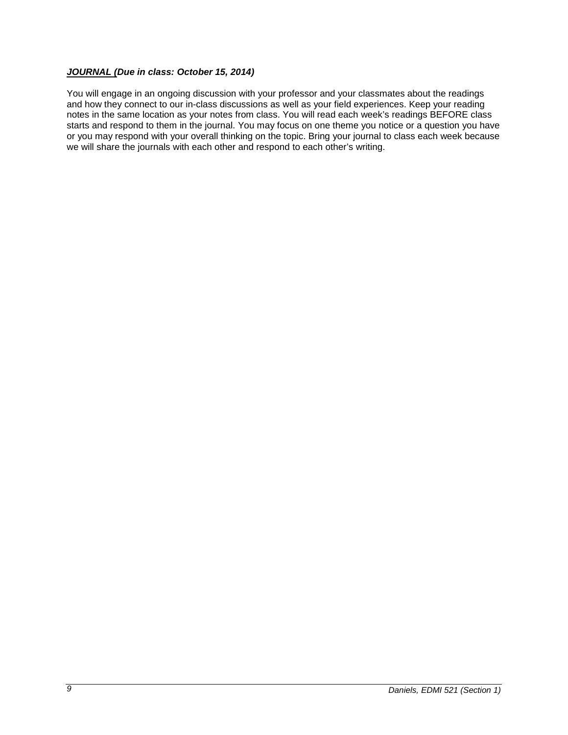# *JOURNAL (Due in class: October 15, 2014)*

You will engage in an ongoing discussion with your professor and your classmates about the readings and how they connect to our in-class discussions as well as your field experiences. Keep your reading notes in the same location as your notes from class. You will read each week's readings BEFORE class starts and respond to them in the journal. You may focus on one theme you notice or a question you have or you may respond with your overall thinking on the topic. Bring your journal to class each week because we will share the journals with each other and respond to each other's writing.